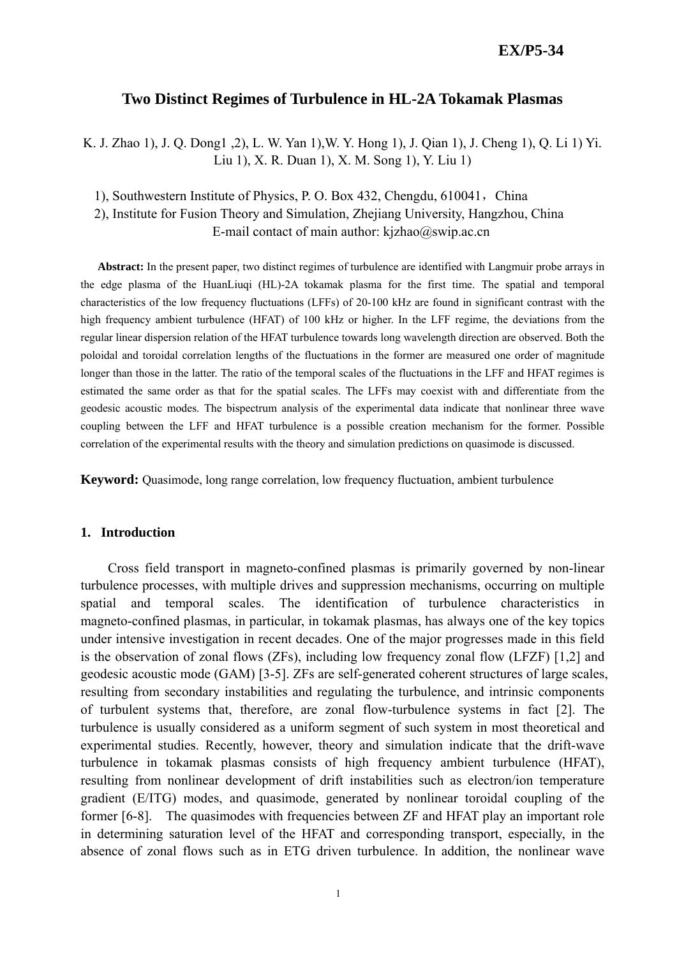# **EX/P5-34**

# **Two Distinct Regimes of Turbulence in HL-2A Tokamak Plasmas**

K. J. Zhao 1), J. Q. Dong1 ,2), L. W. Yan 1),W. Y. Hong 1), J. Qian 1), J. Cheng 1), Q. Li 1) Yi. Liu 1), X. R. Duan 1), X. M. Song 1), Y. Liu 1)

1), Southwestern Institute of Physics, P. O. Box 432, Chengdu, 610041, China

2), Institute for Fusion Theory and Simulation, Zhejiang University, Hangzhou, China

E-mail contact of main author:  $kizhao@swip.ac.cn$ 

**Abstract:** In the present paper, two distinct regimes of turbulence are identified with Langmuir probe arrays in the edge plasma of the HuanLiuqi (HL)-2A tokamak plasma for the first time. The spatial and temporal characteristics of the low frequency fluctuations (LFFs) of 20-100 kHz are found in significant contrast with the high frequency ambient turbulence (HFAT) of 100 kHz or higher. In the LFF regime, the deviations from the regular linear dispersion relation of the HFAT turbulence towards long wavelength direction are observed. Both the poloidal and toroidal correlation lengths of the fluctuations in the former are measured one order of magnitude longer than those in the latter. The ratio of the temporal scales of the fluctuations in the LFF and HFAT regimes is estimated the same order as that for the spatial scales. The LFFs may coexist with and differentiate from the geodesic acoustic modes. The bispectrum analysis of the experimental data indicate that nonlinear three wave coupling between the LFF and HFAT turbulence is a possible creation mechanism for the former. Possible correlation of the experimental results with the theory and simulation predictions on quasimode is discussed.

**Keyword:** Quasimode, long range correlation, low frequency fluctuation, ambient turbulence

#### **1. Introduction**

Cross field transport in magneto-confined plasmas is primarily governed by non-linear turbulence processes, with multiple drives and suppression mechanisms, occurring on multiple spatial and temporal scales. The identification of turbulence characteristics in magneto-confined plasmas, in particular, in tokamak plasmas, has always one of the key topics under intensive investigation in recent decades. One of the major progresses made in this field is the observation of zonal flows (ZFs), including low frequency zonal flow (LFZF) [1,2] and geodesic acoustic mode (GAM) [3-5]. ZFs are self-generated coherent structures of large scales, resulting from secondary instabilities and regulating the turbulence, and intrinsic components of turbulent systems that, therefore, are zonal flow-turbulence systems in fact [2]. The turbulence is usually considered as a uniform segment of such system in most theoretical and experimental studies. Recently, however, theory and simulation indicate that the drift-wave turbulence in tokamak plasmas consists of high frequency ambient turbulence (HFAT), resulting from nonlinear development of drift instabilities such as electron/ion temperature gradient (E/ITG) modes, and quasimode, generated by nonlinear toroidal coupling of the former [6-8]. The quasimodes with frequencies between ZF and HFAT play an important role in determining saturation level of the HFAT and corresponding transport, especially, in the absence of zonal flows such as in ETG driven turbulence. In addition, the nonlinear wave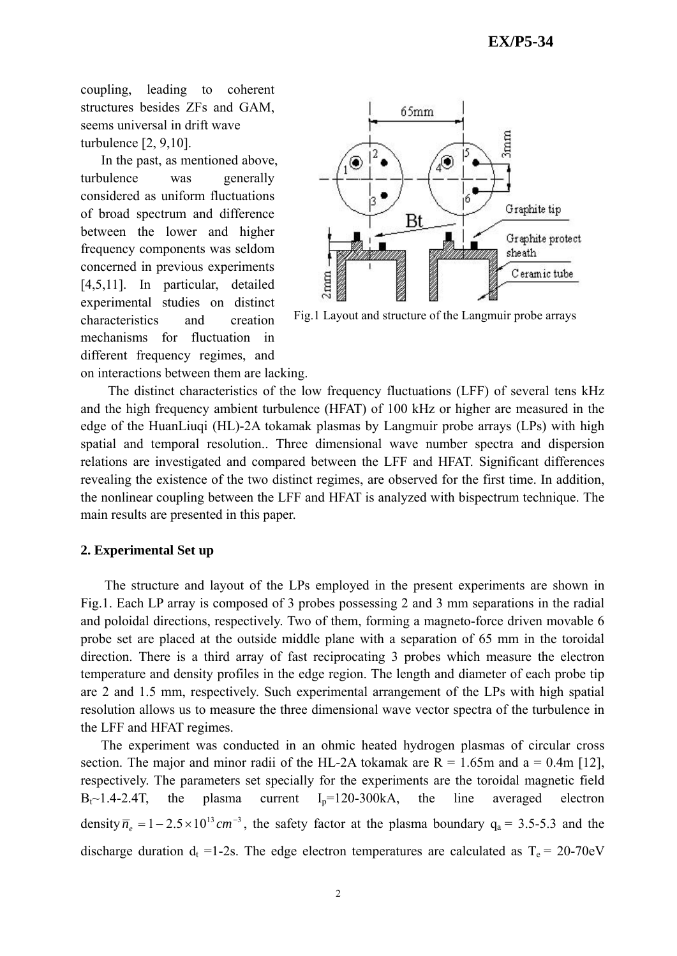coupling, leading to coherent structures besides ZFs and GAM, seems universal in drift wave turbulence [2, 9,10].

In the past, as mentioned above, turbulence was generally considered as uniform fluctuations of broad spectrum and difference between the lower and higher frequency components was seldom concerned in previous experiments [4,5,11]. In particular, detailed experimental studies on distinct characteristics and creation mechanisms for fluctuation in different frequency regimes, and



Fig.1 Layout and structure of the Langmuir probe arrays

on interactions between them are lacking.

The distinct characteristics of the low frequency fluctuations (LFF) of several tens kHz and the high frequency ambient turbulence (HFAT) of 100 kHz or higher are measured in the edge of the HuanLiuqi (HL)-2A tokamak plasmas by Langmuir probe arrays (LPs) with high spatial and temporal resolution.. Three dimensional wave number spectra and dispersion relations are investigated and compared between the LFF and HFAT. Significant differences revealing the existence of the two distinct regimes, are observed for the first time. In addition, the nonlinear coupling between the LFF and HFAT is analyzed with bispectrum technique. The main results are presented in this paper.

### **2. Experimental Set up**

The structure and layout of the LPs employed in the present experiments are shown in Fig.1. Each LP array is composed of 3 probes possessing 2 and 3 mm separations in the radial and poloidal directions, respectively. Two of them, forming a magneto-force driven movable 6 probe set are placed at the outside middle plane with a separation of 65 mm in the toroidal direction. There is a third array of fast reciprocating 3 probes which measure the electron temperature and density profiles in the edge region. The length and diameter of each probe tip are 2 and 1.5 mm, respectively. Such experimental arrangement of the LPs with high spatial resolution allows us to measure the three dimensional wave vector spectra of the turbulence in the LFF and HFAT regimes.

 The experiment was conducted in an ohmic heated hydrogen plasmas of circular cross section. The major and minor radii of the HL-2A tokamak are  $R = 1.65$ m and a = 0.4m [12], respectively. The parameters set specially for the experiments are the toroidal magnetic field  $B_t \sim 1.4 - 2.4$ T, the plasma current  $I_p=120-300kA$ , the line averaged electron density  $\overline{n}_{e} = 1 - 2.5 \times 10^{13}$  cm<sup>-3</sup>, the safety factor at the plasma boundary  $q_{a} = 3.5-5.3$  and the discharge duration  $d_t = 1-2s$ . The edge electron temperatures are calculated as  $T_e = 20-70eV$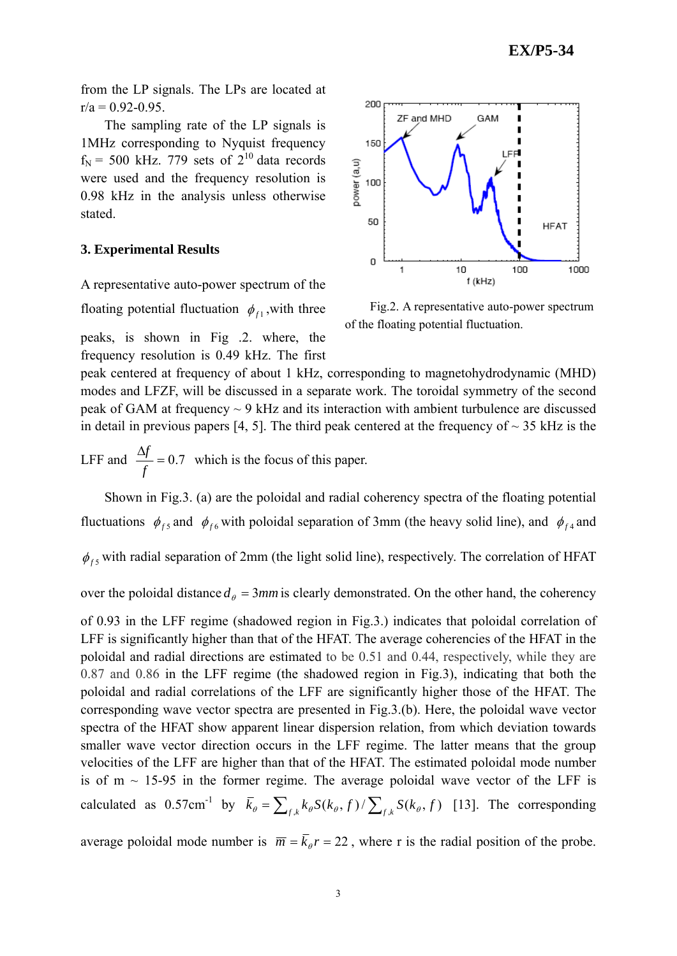from the LP signals. The LPs are located at  $r/a = 0.92 - 0.95$ .

The sampling rate of the LP signals is 1MHz corresponding to Nyquist frequency  $f_N$  = 500 kHz. 779 sets of  $2^{10}$  data records were used and the frequency resolution is 0.98 kHz in the analysis unless otherwise stated.

#### **3. Experimental Results**

A representative auto-power spectrum of the

floating potential fluctuation  $\phi_{f_1}$ , with three

peaks, is shown in Fig .2. where, the frequency resolution is 0.49 kHz. The first



Fig.2. A representative auto-power spectrum of the floating potential fluctuation.

peak centered at frequency of about 1 kHz, corresponding to magnetohydrodynamic (MHD) modes and LFZF, will be discussed in a separate work. The toroidal symmetry of the second peak of GAM at frequency ~ 9 kHz and its interaction with ambient turbulence are discussed in detail in previous papers [4, 5]. The third peak centered at the frequency of  $\sim$  35 kHz is the

LFF and  $\frac{\Delta f}{c} = 0.7$ *f*  $\frac{f}{f}$  = 0.7 which is the focus of this paper.

 Shown in Fig.3. (a) are the poloidal and radial coherency spectra of the floating potential fluctuations  $\phi_{fs}$  and  $\phi_{fs}$  with poloidal separation of 3mm (the heavy solid line), and  $\phi_{fs}$  and

 $\phi_{fs}$  with radial separation of 2mm (the light solid line), respectively. The correlation of HFAT

over the poloidal distance  $d_{\theta} = 3mm$  is clearly demonstrated. On the other hand, the coherency

of 0.93 in the LFF regime (shadowed region in Fig.3.) indicates that poloidal correlation of LFF is significantly higher than that of the HFAT. The average coherencies of the HFAT in the poloidal and radial directions are estimated to be 0.51 and 0.44, respectively, while they are 0.87 and 0.86 in the LFF regime (the shadowed region in Fig.3), indicating that both the poloidal and radial correlations of the LFF are significantly higher those of the HFAT. The corresponding wave vector spectra are presented in Fig.3.(b). Here, the poloidal wave vector spectra of the HFAT show apparent linear dispersion relation, from which deviation towards smaller wave vector direction occurs in the LFF regime. The latter means that the group velocities of the LFF are higher than that of the HFAT. The estimated poloidal mode number is of  $m \sim 15-95$  in the former regime. The average poloidal wave vector of the LFF is calculated as  $0.57 \text{cm}^{-1}$  by  $\bar{k}_{\theta} = \sum_{f,k} k_{\theta} S(k_{\theta}, f) / \sum_{f,k} S(k_{\theta}, f)$  [13]. The corresponding

average poloidal mode number is  $\overline{m} = \overline{k}_{\theta}r = 22$ , where r is the radial position of the probe.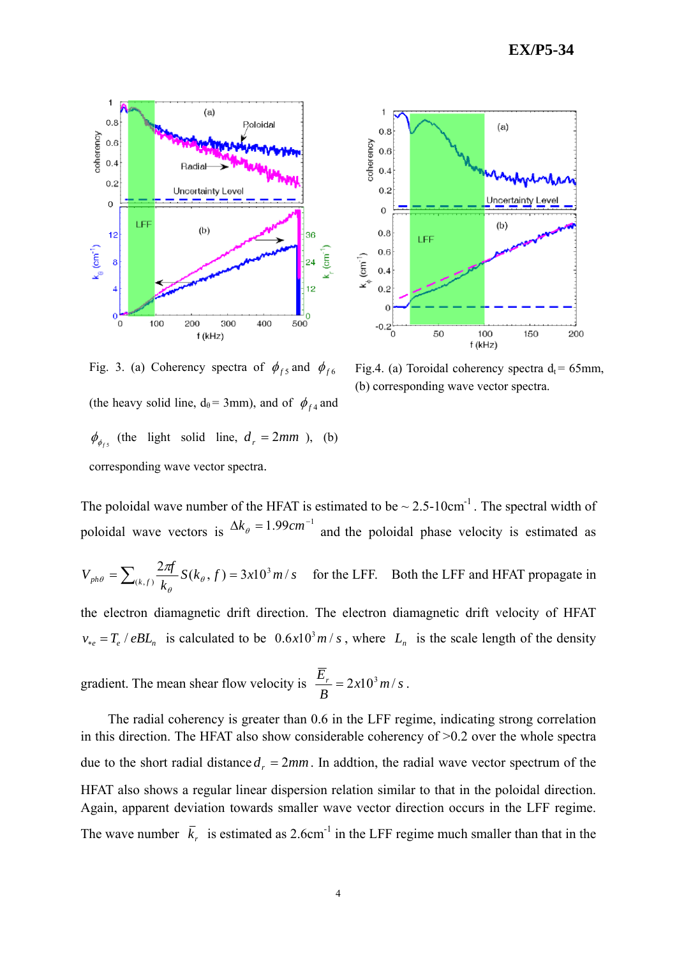



Fig. 3. (a) Coherency spectra of  $\phi_{fs}$  and  $\phi_{fs}$ (the heavy solid line,  $d_{\theta} = 3$ mm), and of  $\phi_{f4}$  and  $\phi_{\phi_{fs}}$  (the light solid line,  $d_r = 2mm$ ), (b) corresponding wave vector spectra.

Fig.4. (a) Toroidal coherency spectra  $d_t = 65$ mm, (b) corresponding wave vector spectra.

The poloidal wave number of the HFAT is estimated to be  $\sim 2.5{\text -}10 \text{cm}^{-1}$ . The spectral width of poloidal wave vectors is  $\Delta k_{\theta} = 1.99 \text{cm}^{-1}$  and the poloidal phase velocity is estimated as

$$
V_{ph\theta} = \sum_{(k,f)} \frac{2\pi f}{k_{\theta}} S(k_{\theta}, f) = 3x10^3 \, m/s
$$
 for the LFF. Both the LFF and HFAT propagate in

the electron diamagnetic drift direction. The electron diamagnetic drift velocity of HFAT  $v_{*e} = T_e / eBL_n$  is calculated to be  $0.6 \times 10^3 m/s$ , where  $L_n$  is the scale length of the density

gradient. The mean shear flow velocity is  $\frac{E_r}{R} = 2x10^3 m/s$ *B*  $\frac{E_r}{\sigma} = 2x10^3 m/s$ .

 The radial coherency is greater than 0.6 in the LFF regime, indicating strong correlation in this direction. The HFAT also show considerable coherency of >0.2 over the whole spectra due to the short radial distance  $d_r = 2mm$ . In addtion, the radial wave vector spectrum of the HFAT also shows a regular linear dispersion relation similar to that in the poloidal direction. Again, apparent deviation towards smaller wave vector direction occurs in the LFF regime. The wave number  $\bar{k}_r$  is estimated as 2.6cm<sup>-1</sup> in the LFF regime much smaller than that in the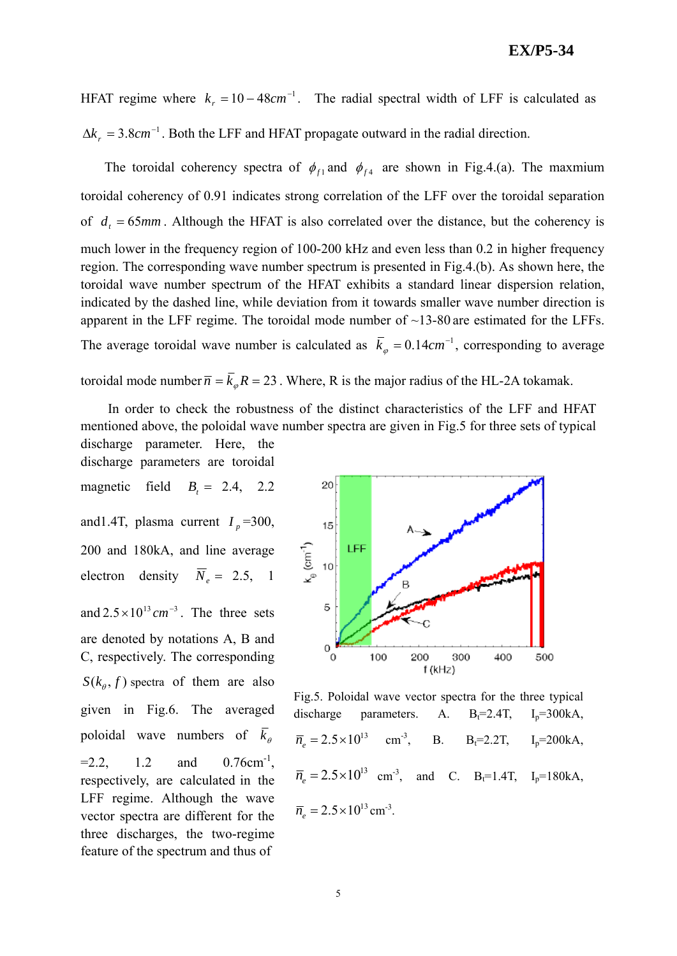### **EX/P5-34**

HFAT regime where  $k_r = 10 - 48cm^{-1}$ . The radial spectral width of LFF is calculated as  $\Delta k_r = 3.8 \text{cm}^{-1}$ . Both the LFF and HFAT propagate outward in the radial direction.

The toroidal coherency spectra of  $\phi_{f1}$  and  $\phi_{f4}$  are shown in Fig.4.(a). The maxmium toroidal coherency of 0.91 indicates strong correlation of the LFF over the toroidal separation of  $d_t = 65$ *mm*. Although the HFAT is also correlated over the distance, but the coherency is much lower in the frequency region of 100-200 kHz and even less than 0.2 in higher frequency region. The corresponding wave number spectrum is presented in Fig.4.(b). As shown here, the toroidal wave number spectrum of the HFAT exhibits a standard linear dispersion relation, indicated by the dashed line, while deviation from it towards smaller wave number direction is apparent in the LFF regime. The toroidal mode number of  $\sim$ 13-80 are estimated for the LFFs. The average toroidal wave number is calculated as  $\overline{k}_{\varphi} = 0.14 \text{cm}^{-1}$ , corresponding to average toroidal mode number  $\overline{n} = \overline{k}_m R = 23$ . Where, R is the major radius of the HL-2A tokamak.

In order to check the robustness of the distinct characteristics of the LFF and HFAT mentioned above, the poloidal wave number spectra are given in Fig.5 for three sets of typical

discharge parameters are toroidal magnetic field  $B_1 = 2.4$ , 2.2 and1.4T, plasma current  $I_p$ =300, 200 and 180kA, and line average electron density  $\overline{N}_e = 2.5, 1$ and  $2.5 \times 10^{13}$  cm<sup>-3</sup>. The three sets are denoted by notations A, B and C, respectively. The corresponding  $S(k_\theta, f)$  spectra of them are also given in Fig.6. The averaged poloidal wave numbers of  $k_{\theta}$  $=2.2$ , 1.2 and 0.76cm<sup>-1</sup>, respectively, are calculated in the LFF regime. Although the wave vector spectra are different for the three discharges, the two-regime feature of the spectrum and thus of

discharge parameter. Here, the



Fig.5. Poloidal wave vector spectra for the three typical discharge parameters. A.  $B_f=2.4T$ ,  $I_p=300kA$ ,  $\overline{n}_e = 2.5 \times 10^{13}$  cm<sup>-3</sup>, B. B<sub>t</sub>=2.2T, I<sub>p</sub>=200kA,  $\overline{n}_{e} = 2.5 \times 10^{13}$  cm<sup>-3</sup>, and C. B<sub>t</sub>=1.4T, I<sub>p</sub>=180kA,  $\overline{n}_e = 2.5 \times 10^{13}$  cm<sup>-3</sup>.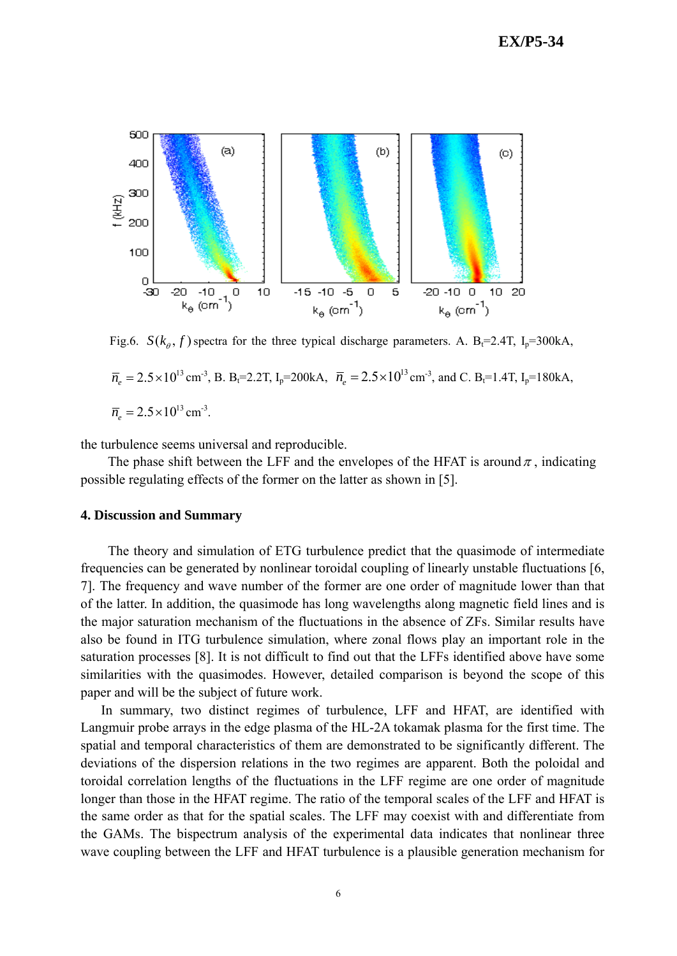

Fig.6.  $S(k_a, f)$  spectra for the three typical discharge parameters. A. B<sub>t</sub>=2.4T, I<sub>p</sub>=300kA,

 $\overline{n}_e = 2.5 \times 10^{13} \text{ cm}^3$ , B. B<sub>t</sub>=2.2T, I<sub>p</sub>=200kA,  $\overline{n}_e = 2.5 \times 10^{13} \text{ cm}^3$ , and C. B<sub>t</sub>=1.4T, I<sub>p</sub>=180kA,  $\bar{n}_e = 2.5 \times 10^{13} \text{ cm}^{-3}.$ 

the turbulence seems universal and reproducible.

The phase shift between the LFF and the envelopes of the HFAT is around  $\pi$ , indicating possible regulating effects of the former on the latter as shown in [5].

### **4. Discussion and Summary**

The theory and simulation of ETG turbulence predict that the quasimode of intermediate frequencies can be generated by nonlinear toroidal coupling of linearly unstable fluctuations [6, 7]. The frequency and wave number of the former are one order of magnitude lower than that of the latter. In addition, the quasimode has long wavelengths along magnetic field lines and is the major saturation mechanism of the fluctuations in the absence of ZFs. Similar results have also be found in ITG turbulence simulation, where zonal flows play an important role in the saturation processes [8]. It is not difficult to find out that the LFFs identified above have some similarities with the quasimodes. However, detailed comparison is beyond the scope of this paper and will be the subject of future work.

In summary, two distinct regimes of turbulence, LFF and HFAT, are identified with Langmuir probe arrays in the edge plasma of the HL-2A tokamak plasma for the first time. The spatial and temporal characteristics of them are demonstrated to be significantly different. The deviations of the dispersion relations in the two regimes are apparent. Both the poloidal and toroidal correlation lengths of the fluctuations in the LFF regime are one order of magnitude longer than those in the HFAT regime. The ratio of the temporal scales of the LFF and HFAT is the same order as that for the spatial scales. The LFF may coexist with and differentiate from the GAMs. The bispectrum analysis of the experimental data indicates that nonlinear three wave coupling between the LFF and HFAT turbulence is a plausible generation mechanism for